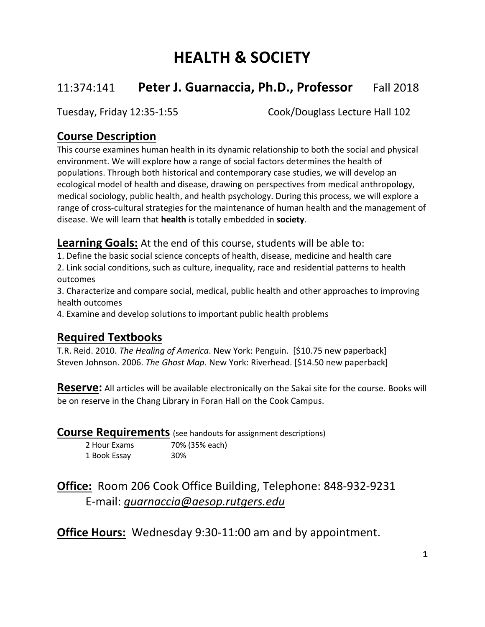# **HEALTH & SOCIETY**

## 11:374:141 **Peter J. Guarnaccia, Ph.D., Professor** Fall 2018

Tuesday, Friday 12:35-1:55 Cook/Douglass Lecture Hall 102

## **Course Description**

This course examines human health in its dynamic relationship to both the social and physical environment. We will explore how a range of social factors determines the health of populations. Through both historical and contemporary case studies, we will develop an ecological model of health and disease, drawing on perspectives from medical anthropology, medical sociology, public health, and health psychology. During this process, we will explore a range of cross-cultural strategies for the maintenance of human health and the management of disease. We will learn that **health** is totally embedded in **society**.

**Learning Goals:** At the end of this course, students will be able to:

1. Define the basic social science concepts of health, disease, medicine and health care 2. Link social conditions, such as culture, inequality, race and residential patterns to health outcomes

3. Characterize and compare social, medical, public health and other approaches to improving health outcomes

4. Examine and develop solutions to important public health problems

## **Required Textbooks**

T.R. Reid. 2010. *The Healing of America*. New York: Penguin. [\$10.75 new paperback] Steven Johnson. 2006. *The Ghost Map*. New York: Riverhead. [\$14.50 new paperback]

**Reserve:** All articles will be available electronically on the Sakai site for the course. Books will be on reserve in the Chang Library in Foran Hall on the Cook Campus.

### **Course Requirements** (see handouts for assignment descriptions)

| 2 Hour Exams | 70% (35% each) |
|--------------|----------------|
| 1 Book Essay | 30%            |

## **Office:** Room 206 Cook Office Building, Telephone: 848-932-9231 E-mail: *[guarnaccia@aesop.rutgers.edu](mailto:guarnaccia@aesop.rutgers.edu)*

**Office Hours:** Wednesday 9:30-11:00 am and by appointment.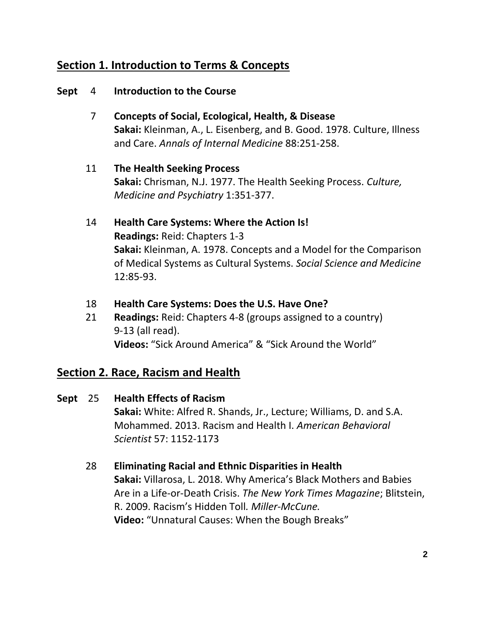## **Section 1. Introduction to Terms & Concepts**

### **Sept** 4 **Introduction to the Course**

- 7 **Concepts of Social, Ecological, Health, & Disease Sakai:** Kleinman, A., L. Eisenberg, and B. Good. 1978. Culture, Illness and Care. *Annals of Internal Medicine* 88:251-258.
- 11 **The Health Seeking Process Sakai:** Chrisman, N.J. 1977. The Health Seeking Process. *Culture, Medicine and Psychiatry* 1:351-377.
- 14 **Health Care Systems: Where the Action Is! Readings:** Reid: Chapters 1-3 **Sakai:** Kleinman, A. 1978. Concepts and a Model for the Comparison of Medical Systems as Cultural Systems. *Social Science and Medicine* 12:85-93.
- 18 **Health Care Systems: Does the U.S. Have One?**
- 21 **Readings:** Reid: Chapters 4-8 (groups assigned to a country) 9-13 (all read). **Videos:** "Sick Around America" & "Sick Around the World"

## **Section 2. Race, Racism and Health**

- **Sept** 25 **Health Effects of Racism Sakai:** White: Alfred R. Shands, Jr., Lecture; Williams, D. and S.A. Mohammed. 2013. Racism and Health I. *American Behavioral Scientist* 57: 1152-1173
	- 28 **Eliminating Racial and Ethnic Disparities in Health Sakai:** Villarosa, L. 2018. Why America's Black Mothers and Babies Are in a Life-or-Death Crisis. *The New York Times Magazine*; Blitstein, R. 2009. Racism's Hidden Toll*. Miller-McCune.* **Video:** "Unnatural Causes: When the Bough Breaks"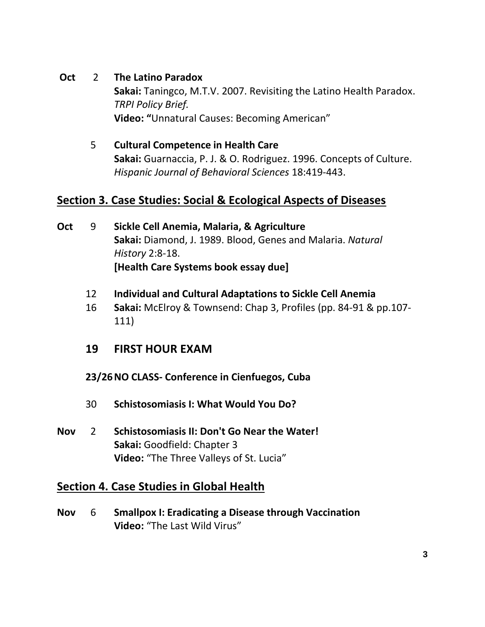- **Oct** 2 **The Latino Paradox Sakai:** Taningco, M.T.V. 2007. Revisiting the Latino Health Paradox. *TRPI Policy Brief.* **Video: "**Unnatural Causes: Becoming American"
	- 5 **Cultural Competence in Health Care Sakai:** Guarnaccia, P. J. & O. Rodriguez. 1996. Concepts of Culture. *Hispanic Journal of Behavioral Sciences* 18:419-443.

## **Section 3. Case Studies: Social & Ecological Aspects of Diseases**

- **Oct** 9 **Sickle Cell Anemia, Malaria, & Agriculture Sakai:** Diamond, J. 1989. Blood, Genes and Malaria. *Natural History* 2:8-18. **[Health Care Systems book essay due]**
	- 12 **Individual and Cultural Adaptations to Sickle Cell Anemia**
	- 16 **Sakai:** McElroy & Townsend: Chap 3, Profiles (pp. 84-91 & pp.107- 111)
	- **19 FIRST HOUR EXAM**
	- **23/26NO CLASS- Conference in Cienfuegos, Cuba**
	- 30 **Schistosomiasis I: What Would You Do?**
- **Nov** 2 **Schistosomiasis II: Don't Go Near the Water! Sakai:** Goodfield: Chapter 3 **Video:** "The Three Valleys of St. Lucia"

### **Section 4. Case Studies in Global Health**

**Nov** 6 **Smallpox I: Eradicating a Disease through Vaccination Video:** "The Last Wild Virus"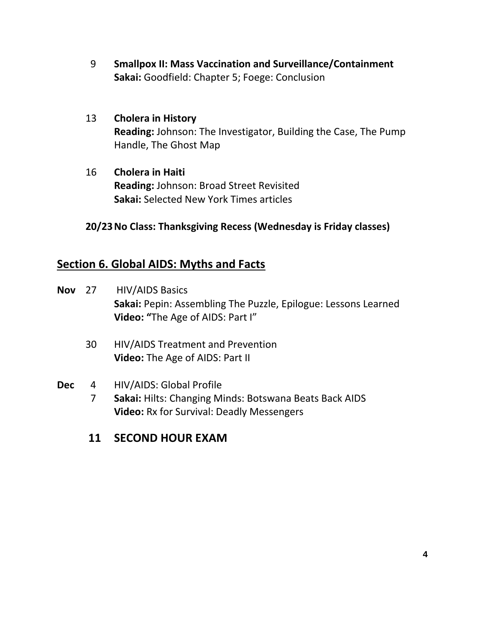- 9 **Smallpox II: Mass Vaccination and Surveillance/Containment Sakai:** Goodfield: Chapter 5; Foege: Conclusion
- 13 **Cholera in History Reading:** Johnson: The Investigator, Building the Case, The Pump Handle, The Ghost Map
- 16 **Cholera in Haiti Reading:** Johnson: Broad Street Revisited **Sakai:** Selected New York Times articles

### **20/23No Class: Thanksgiving Recess (Wednesday is Friday classes)**

## **Section 6. Global AIDS: Myths and Facts**

- **Nov** 27 HIV/AIDS Basics **Sakai:** Pepin: Assembling The Puzzle, Epilogue: Lessons Learned **Video: "**The Age of AIDS: Part I"
	- 30 HIV/AIDS Treatment and Prevention **Video:** The Age of AIDS: Part II

### **Dec** 4 HIV/AIDS: Global Profile

7 **Sakai:** Hilts: Changing Minds: Botswana Beats Back AIDS **Video:** Rx for Survival: Deadly Messengers

## **11 SECOND HOUR EXAM**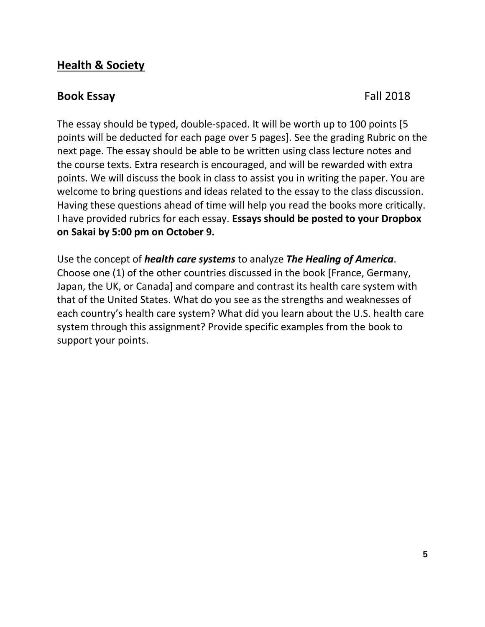## **Health & Society**

### **Book Essay** Fall 2018

The essay should be typed, double-spaced. It will be worth up to 100 points [5 points will be deducted for each page over 5 pages]. See the grading Rubric on the next page. The essay should be able to be written using class lecture notes and the course texts. Extra research is encouraged, and will be rewarded with extra points. We will discuss the book in class to assist you in writing the paper. You are welcome to bring questions and ideas related to the essay to the class discussion. Having these questions ahead of time will help you read the books more critically. I have provided rubrics for each essay. **Essays should be posted to your Dropbox on Sakai by 5:00 pm on October 9.**

Use the concept of *health care systems* to analyze *The Healing of America*. Choose one (1) of the other countries discussed in the book [France, Germany, Japan, the UK, or Canada] and compare and contrast its health care system with that of the United States. What do you see as the strengths and weaknesses of each country's health care system? What did you learn about the U.S. health care system through this assignment? Provide specific examples from the book to support your points.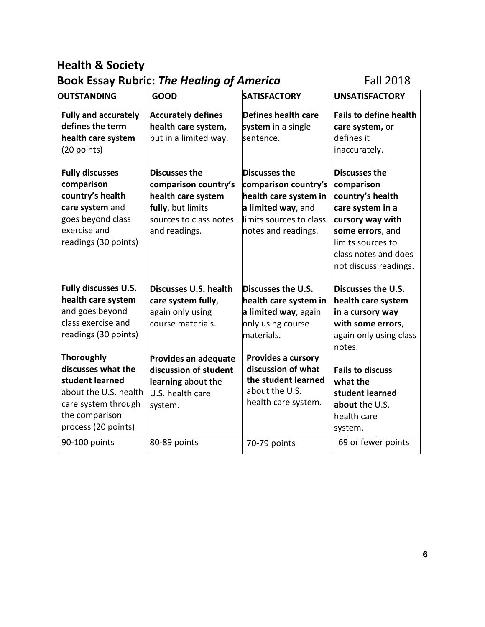## **Health & Society**

## **Book Essay Rubric: The Healing of America** Fall 2018

| OUTSTANDING                 | <b>GOOD</b>                 | <b>SATISFACTORY</b>      | <b>UNSATISFACTORY</b>         |
|-----------------------------|-----------------------------|--------------------------|-------------------------------|
| <b>Fully and accurately</b> | <b>Accurately defines</b>   | Defines health care      | <b>Fails to define health</b> |
| defines the term            | health care system,         | system in a single       | care system, or               |
| health care system          | but in a limited way.       | sentence.                | defines it                    |
| (20 points)                 |                             |                          | inaccurately.                 |
| <b>Fully discusses</b>      | Discusses the               | <b>Discusses the</b>     | Discusses the                 |
| comparison                  | comparison country's        | comparison country's     | comparison                    |
| country's health            | health care system          | health care system in    | country's health              |
| care system and             | fully, but limits           | a limited way, and       | care system in a              |
| goes beyond class           | sources to class notes      | llimits sources to class | cursory way with              |
| exercise and                | and readings.               | notes and readings.      | some errors, and              |
| readings (30 points)        |                             |                          | limits sources to             |
|                             |                             |                          | class notes and does          |
|                             |                             |                          | not discuss readings.         |
| <b>Fully discusses U.S.</b> | Discusses U.S. health       | Discusses the U.S.       | Discusses the U.S.            |
| health care system          | care system fully,          | health care system in    | health care system            |
| and goes beyond             | again only using            | a limited way, again     | in a cursory way              |
| class exercise and          | course materials.           | only using course        | with some errors,             |
| readings (30 points)        |                             | lmaterials.              | again only using class        |
|                             |                             |                          | notes.                        |
| <b>Thoroughly</b>           | <b>Provides an adequate</b> | Provides a cursory       |                               |
| discusses what the          | discussion of student       | discussion of what       | <b>Fails to discuss</b>       |
| student learned             | learning about the          | the student learned      | what the                      |
| about the U.S. health       | U.S. health care            | about the U.S.           | student learned               |
| care system through         | system.                     | health care system.      | about the U.S.                |
| the comparison              |                             |                          | health care                   |
| process (20 points)         |                             |                          | system.                       |
| 90-100 points               | 80-89 points                | 70-79 points             | 69 or fewer points            |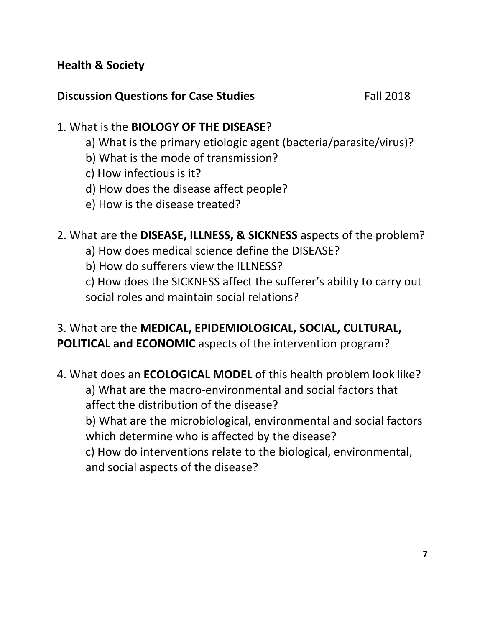## **Health & Society**

## **Discussion Questions for Case Studies** Fall 2018

## 1. What is the **BIOLOGY OF THE DISEASE**?

- a) What is the primary etiologic agent (bacteria/parasite/virus)?
- b) What is the mode of transmission?
- c) How infectious is it?
- d) How does the disease affect people?
- e) How is the disease treated?
- 2. What are the **DISEASE, ILLNESS, & SICKNESS** aspects of the problem?
	- a) How does medical science define the DISEASE?
	- b) How do sufferers view the ILLNESS?

c) How does the SICKNESS affect the sufferer's ability to carry out social roles and maintain social relations?

## 3. What are the **MEDICAL, EPIDEMIOLOGICAL, SOCIAL, CULTURAL, POLITICAL and ECONOMIC** aspects of the intervention program?

4. What does an **ECOLOGICAL MODEL** of this health problem look like? a) What are the macro-environmental and social factors that affect the distribution of the disease?

b) What are the microbiological, environmental and social factors which determine who is affected by the disease?

c) How do interventions relate to the biological, environmental, and social aspects of the disease?